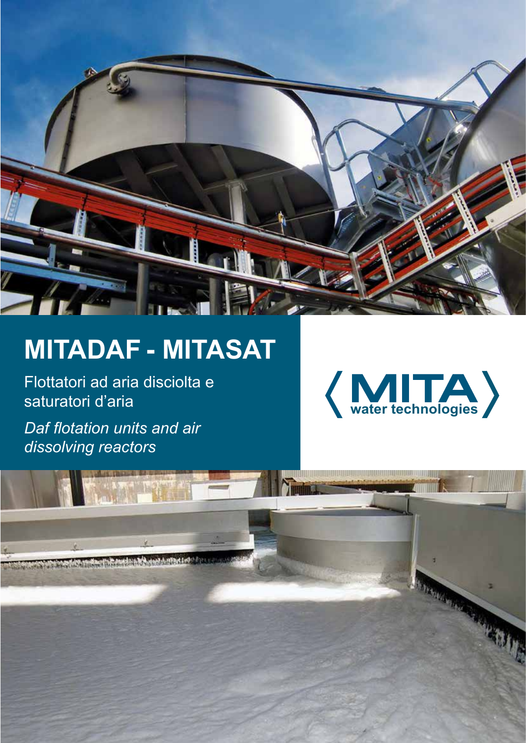

# **mitadaf - mitasat**

Flottatori ad aria disciolta e saturatori d'aria

*Daf flotation units and air dissolving reactors*



BRANCH AND IN

The basement was for mile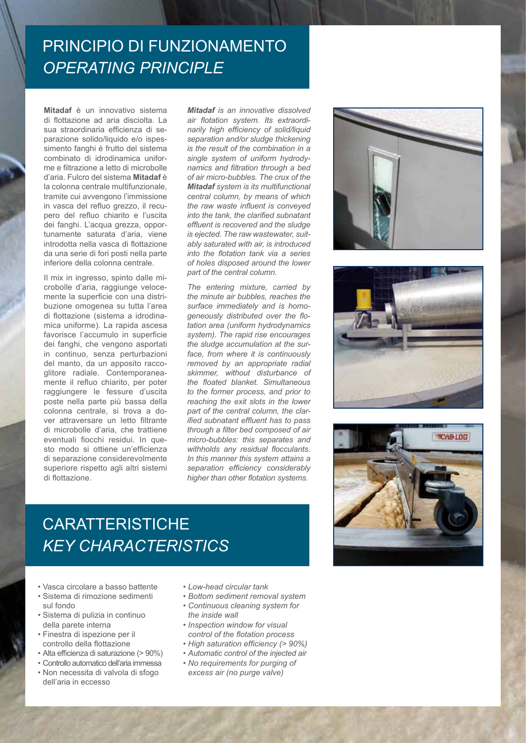#### PRINCIPIO DI FUNZIONAMENTO *Operating principle*

**Mitadaf** è un innovativo sistema di flottazione ad aria disciolta. La sua straordinaria efficienza di separazione solido/liquido e/o ispessimento fanghi è frutto del sistema combinato di idrodinamica uniforme e filtrazione a letto di microbolle d'aria. Fulcro del sistema **Mitadaf** è la colonna centrale multifunzionale, tramite cui avvengono l'immissione in vasca del refluo grezzo, il recupero del refluo chiarito e l'uscita dei fanghi. L'acqua grezza, opportunamente saturata d'aria, viene introdotta nella vasca di flottazione da una serie di fori posti nella parte inferiore della colonna centrale.

Il mix in ingresso, spinto dalle microbolle d'aria, raggiunge velocemente la superficie con una distribuzione omogenea su tutta l'area di flottazione (sistema a idrodinamica uniforme). La rapida ascesa favorisce l'accumulo in superficie dei fanghi, che vengono asportati in continuo, senza perturbazioni del manto, da un apposito raccoglitore radiale. Contemporaneamente il refluo chiarito, per poter raggiungere le fessure d'uscita poste nella parte più bassa della colonna centrale, si trova a dover attraversare un letto filtrante di microbolle d'aria, che trattiene eventuali fiocchi residui. In questo modo si ottiene un'efficienza di separazione considerevolmente superiore rispetto agli altri sistemi di flottazione.

*Mitadaf is an innovative dissolved air flotation system. Its extraordinarily high efficiency of solid/liquid separation and/or sludge thickening is the result of the combination in a single system of uniform hydrodynamics and filtration through a bed of air micro-bubbles. The crux of the Mitadaf system is its multifunctional central column, by means of which the raw waste influent is conveyed into the tank, the clarified subnatant effluent is recovered and the sludge is ejected. The raw wastewater, suitably saturated with air, is introduced into the flotation tank via a series of holes disposed around the lower part of the central column.*

*The entering mixture, carried by the minute air bubbles, reaches the surface immediately and is homogeneously distributed over the flotation area (uniform hydrodynamics system). The rapid rise encourages the sludge accumulation at the surface, from where it is continuously removed by an appropriate radial skimmer, without disturbance of the floated blanket. Simultaneous to the former process, and prior to reaching the exit slots in the lower part of the central column, the clarified subnatant effluent has to pass through a filter bed composed of air micro-bubbles: this separates and withholds any residual flocculants. In this manner this system attains a separation efficiency considerably higher than other flotation systems.*







# **CARATTERISTICHE** *Key characteristics*

- Vasca circolare a basso battente
- Sistema di rimozione sedimenti sul fondo
- Sistema di pulizia in continuo della parete interna
- Finestra di ispezione per il controllo della flottazione
- Alta efficienza di saturazione (> 90%)
- Controllo automatico dell'aria immessa • Non necessita di valvola di sfogo
- dell'aria in eccesso
- *• Low-head circular tank*
- *• Bottom sediment removal system*
- *• Continuous cleaning system for the inside wall*
- *• Inspection window for visual control of the flotation process*
- *• High saturation efficiency (> 90%)*
- *• Automatic control of the injected air*
- *• No requirements for purging of excess air (no purge valve)*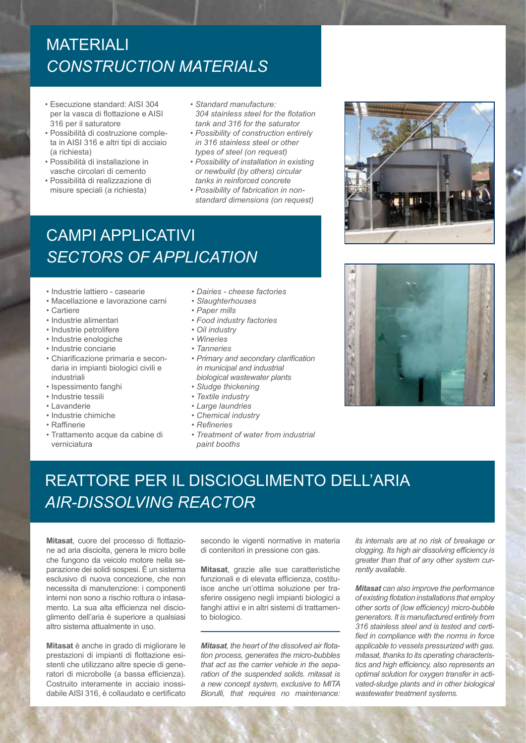# **MATERIALI** *Construction materials*

- Esecuzione standard: AISI 304 per la vasca di flottazione e AISI 316 per il saturatore
- Possibilità di costruzione completa in AISI 316 e altri tipi di acciaio (a richiesta)
- Possibilità di installazione in vasche circolari di cemento
- Possibilità di realizzazione di misure speciali (a richiesta)
- *• Standard manufacture: 304 stainless steel for the flotation tank and 316 for the saturator*
- *• Possibility of construction entirely in 316 stainless steel or other types of steel (on request)*
- *• Possibility of installation in existing or newbuild (by others) circular tanks in reinforced concrete*
- *• Possibility of fabrication in nonstandard dimensions (on request)*

### campi applicativi *Sectors of application*

- Industrie lattiero casearie
- Macellazione e lavorazione carni
- Cartiere
- Industrie alimentari
- Industrie petrolifere
- Industrie enologiche
- Industrie conciarie
- Chiarificazione primaria e secondaria in impianti biologici civili e industriali
- Ispessimento fanghi
- Industrie tessili
- Lavanderie
- Industrie chimiche
- Raffinerie
- Trattamento acque da cabine di verniciatura
- *• Dairies cheese factories*
- *• Slaughterhouses*
- *• Paper mills*
- *Food industry factories*
- *Oil industry*
- *• Wineries*
- *• Tanneries*
- *• Primary and secondary clarification in municipal and industrial biological wastewater plants*
- *• Sludge thickening*
- *• Textile industry*
- *• Large laundries*
- *• Chemical industry*
- *Refineries*
- *• Treatment of water from industrial paint booths*





# Reattore per il discioglimento dell'aria *Air-dissolving reactor*

**Mitasat**, cuore del processo di flottazione ad aria disciolta, genera le micro bolle che fungono da veicolo motore nella separazione dei solidi sospesi. È un sistema esclusivo di nuova concezione, che non necessita di manutenzione: i componenti interni non sono a rischio rottura o intasamento. La sua alta efficienza nel discioglimento dell'aria è superiore a qualsiasi altro sistema attualmente in uso.

**Mitasat** è anche in grado di migliorare le prestazioni di impianti di flottazione esistenti che utilizzano altre specie di generatori di microbolle (a bassa efficienza). Costruito interamente in acciaio inossidabile AISI 316, è collaudato e certificato

secondo le vigenti normative in materia di contenitori in pressione con gas.

**Mitasat**, grazie alle sue caratteristiche funzionali e di elevata efficienza, costituisce anche un'ottima soluzione per trasferire ossigeno negli impianti biologici a fanghi attivi e in altri sistemi di trattamento biologico.

*Mitasat, the heart of the dissolved air flotation process, generates the micro-bubbles that act as the carrier vehicle in the separation of the suspended solids. mitasat is a new concept system, exclusive to MITA Biorulli, that requires no maintenance:* 

*its internals are at no risk of breakage or clogging. Its high air dissolving efficiency is greater than that of any other system currently available.*

*Mitasat can also improve the performance of existing flotation installations that employ other sorts of (low efficiency) micro-bubble generators. It is manufactured entirely from 316 stainless steel and is tested and certified in compliance with the norms in force applicable to vessels pressurized with gas. mitasat, thanks to its operating characteristics and high efficiency, also represents an optimal solution for oxygen transfer in activated-sludge plants and in other biological wastewater treatment systems.*